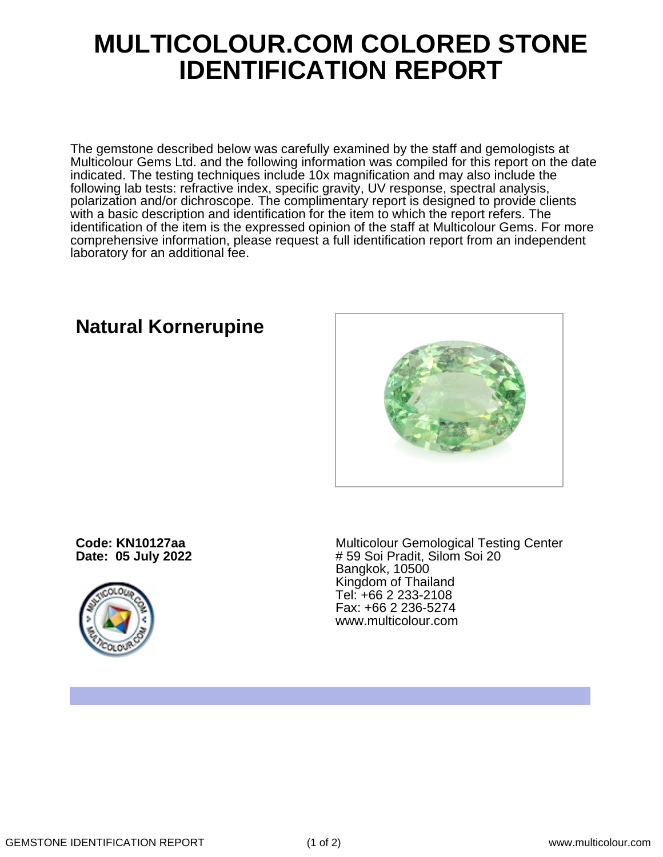## **MULTICOLOUR.COM COLORED STONE IDENTIFICATION REPORT**

The gemstone described below was carefully examined by the staff and gemologists at Multicolour Gems Ltd. and the following information was compiled for this report on the date indicated. The testing techniques include 10x magnification and may also include the following lab tests: refractive index, specific gravity, UV response, spectral analysis, polarization and/or dichroscope. The complimentary report is designed to provide clients with a basic description and identification for the item to which the report refers. The identification of the item is the expressed opinion of the staff at Multicolour Gems. For more comprehensive information, please request a full identification report from an independent laboratory for an additional fee.

## **Natural Kornerupine**

**Code: KN10127aa Date: 05 July 2022**



Multicolour Gemological Testing Center # 59 Soi Pradit, Silom Soi 20 Bangkok, 10500 Kingdom of Thailand Tel: +66 2 233-2108 Fax: +66 2 236-5274 www.multicolour.com